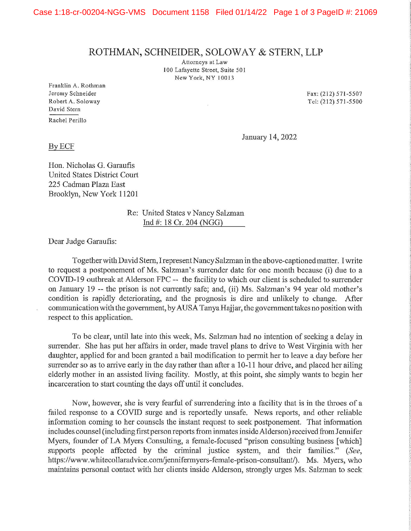## ROTHMAN, SCHNEIDER, SOLOWAY & STERN, LLP

Attorneys at Law I 00 Lafayette Street, Suite 501 New York, NY 10013

Franklin A. Rothman Jeremy Schneider Robert A. Soloway David Stern Rachel Perillo

Fax: (212) 571-5507 Tel: (212) 571-5500

January 14, 2022

## ByECF

Hon. Nicholas G. Garaufis United States District Court 225 Cadman Plaza East Brooklyn, New York 11201

> Re: United States v Nancy Salzman Ind#: 18 Cr. 204 (NGG)

Dear Judge Garaufis:

Together with David Stern, I represent Nancy Salzman in the above-captioned matter. I write to request a postponement of Ms. Salzman's sunender date for one month because (i) due to a CO VID-19 outbreak at Alderson FPC -~ the facility to which our client is scheduled to surrender on January 19 -- the prison is not currently safe; and, (ii) Ms. Salzman's 94 year old mother's condition is rapidly deteriorating, and the prognosis is dire and unlikely to change. After communication with the government, by AUSA Tanya Hajjar, the government takes no position with respect to this application.

To be clear, until late into this week, Ms. Salzman had no intention of seeking a delay in surrender. She has put her affairs in order, made travel plans to drive to West Virginia with her daughter, applied for and been granted a bail modification to permit her to leave a day before her surrender so as to arrive early in the day rather than after a 10-11 hour drive, and placed her ailing elderly mother in an assisted living facility. Mostly, at this point, she simply wants to begin her incarceration to start counting the days off until it concludes.

Now, however, she is very fearful of surrendering into a facility that is in the throes of a failed response to a COVID surge and is reportedly unsafe. News reports, and other reliable information coming to her counsels the instant request to seek postponement. That information includes counsel ( including first person reports from inmates inside Alderson) received from Jennifer Myers, founder of LA Myers Consulting, a female-focused "prison consulting business [which] supports people affected by the criminal justice system, and their families.'' *(See,*  https://www.whitecollaradvice.com/jennifermyers-female-prison-consultant/). Ms. Myers, who maintains personal contact with her clients inside Alderson, strongly urges Ms. Salzman to seek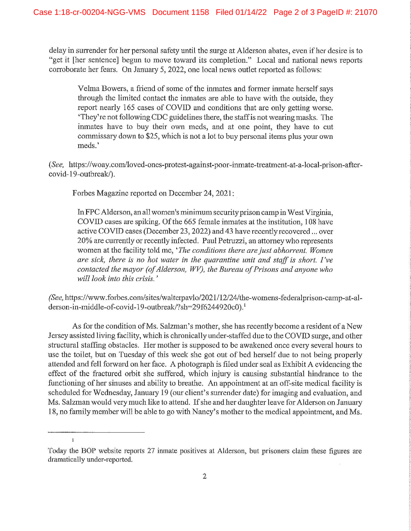delay in surrender for her personal safety until the surge at Alderson abates, even if her desire is to "get it [her sentence] begun to move toward its completion." Local and national news reports corroborate her fears. On January 5, 2022, one local news outlet reported as follows:

Velma Bowers, a friend of some of the inmates and former inmate herself says through the limited contact the inmates are able to have with the outside, they report nearly 165 cases of COVID and conditions that are only getting worse. 'They're not following CDC guidelines there, the staff is not wearing masks. The inmates have to buy their own meds, and at one point, they have to cut commissary down to \$25, which is not a lot to buy personal items plus your own meds.'

*(See,* https://woay.com/loved-ones-protest-against-poor-inmate-treatment-at-a-local-prison-aftercovid-19-outbreak/).

Forbes Magazine reported on December 24, 2021:

In FPC Alderson, an all women's minimum security prison camp in West Virginia, COVID cases are spiking. Of the 665 female imnates at the institution, 108 have active COVID cases (December 23, 2022) and 43 have recently recovered ... over 20% are currently or recently infected. Paul Petruzzi, an attorney who represents women at the facility told me, *'The conditions there are just abhorrent. Women are sick, there is no hot water in the quarantine unit and staff is short. I've contacted the mayor (of Alderson, WV), the Bureau of Prisons and anyone who will look into this crisis.* '

*(See,* https://www.forbes.com/sites/walterpavlo/2021/l2/24/the-womens-federalprison-camp-at-alderson-in-middle-of-covid-19-outbreak/?sh=29f6244920c0).<sup>1</sup>

As for the condition of Ms. Salzman's mother, she has recently become a resident of a New Jersey assisted living facility, which is chronically under-staffed due to the COVID surge, and other structural staffing obstacles. Her mother is supposed to be awakened once every several hours to use the toilet, but on Tuesday of this week she got out of bed herself due to not being properly attended and fell forward on her face. A photograph is filed under seal as Exhibit A evidencing the effect of the fractured orbit she suffered, which injury is causing substantial hindrance to the functioning of her sinuses and ability to breathe. An appointment at an off-site medical facility is scheduled for Wednesday, January 19 (our client's surrender date) for imaging and evaluation, and Ms. Salzman would very much like to attend. If she and her daughter leave for Alderson on January 18, no family member will be able to go with Nancy's mother to the medical appointment, and Ms.

 $\mathbf{I}$ 

Today the BOP website reports 27 inmate positives at Alderson, but prisoners claim these figures are dramatically under-reported.